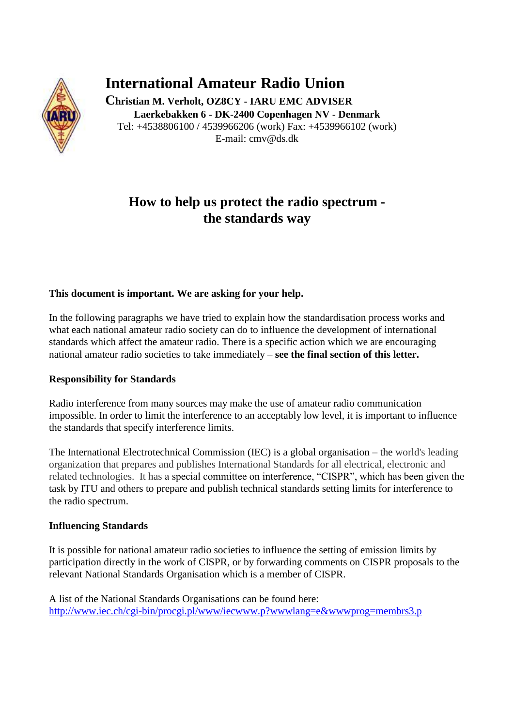

# **International Amateur Radio Union**

**Christian M. Verholt, OZ8CY - IARU EMC ADVISER Laerkebakken 6 - DK-2400 Copenhagen NV - Denmark** Tel: +4538806100 / 4539966206 (work) Fax: +4539966102 (work) E-mail: cmv@ds.dk

## **How to help us protect the radio spectrum the standards way**

### **This document is important. We are asking for your help.**

In the following paragraphs we have tried to explain how the standardisation process works and what each national amateur radio society can do to influence the development of international standards which affect the amateur radio. There is a specific action which we are encouraging national amateur radio societies to take immediately – **see the final section of this letter.**

#### **Responsibility for Standards**

Radio interference from many sources may make the use of amateur radio communication impossible. In order to limit the interference to an acceptably low level, it is important to influence the standards that specify interference limits.

The International Electrotechnical Commission (IEC) is a global organisation – the world's leading organization that prepares and publishes International Standards for all electrical, electronic and related technologies. It has a special committee on interference, "CISPR", which has been given the task by ITU and others to prepare and publish technical standards setting limits for interference to the radio spectrum.

#### **Influencing Standards**

It is possible for national amateur radio societies to influence the setting of emission limits by participation directly in the work of CISPR, or by forwarding comments on CISPR proposals to the relevant National Standards Organisation which is a member of CISPR.

A list of the National Standards Organisations can be found here: <http://www.iec.ch/cgi-bin/procgi.pl/www/iecwww.p?wwwlang=e&wwwprog=membrs3.p>